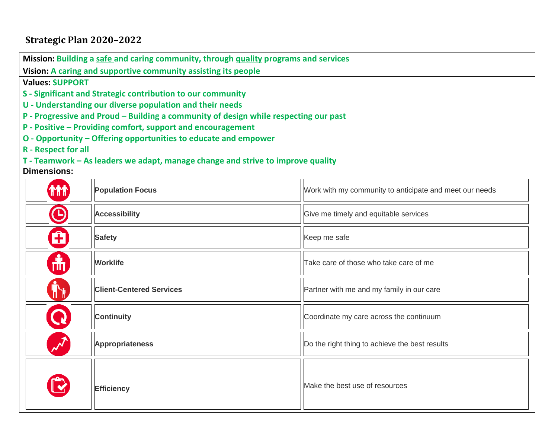## **Strategic Plan 2020–2022**

**Mission: Building a safe and caring community, through quality programs and services**

**Vision: A caring and supportive community assisting its people**

## **Values: SUPPORT**

- **S - Significant and Strategic contribution to our community**
- **U - Understanding our diverse population and their needs**
- **P - Progressive and Proud – Building a community of design while respecting our past**
- **P - Positive – Providing comfort, support and encouragement**
- **O - Opportunity – Offering opportunities to educate and empower**
- **R - Respect for all**

**T - Teamwork – As leaders we adapt, manage change and strive to improve quality**

## **Dimensions:**

| <b>THT</b> | <b>Population Focus</b>         | Work with my community to anticipate and meet our needs |  |  |
|------------|---------------------------------|---------------------------------------------------------|--|--|
| $\bigodot$ | <b>Accessibility</b>            | Give me timely and equitable services                   |  |  |
| Ĥ          | <b>Safety</b>                   | Keep me safe                                            |  |  |
| 畵          | <b>Worklife</b>                 | Take care of those who take care of me                  |  |  |
|            | <b>Client-Centered Services</b> | Partner with me and my family in our care               |  |  |
|            | <b>Continuity</b>               | Coordinate my care across the continuum                 |  |  |
|            | <b>Appropriateness</b>          | Do the right thing to achieve the best results          |  |  |
|            | <b>Efficiency</b>               | Make the best use of resources                          |  |  |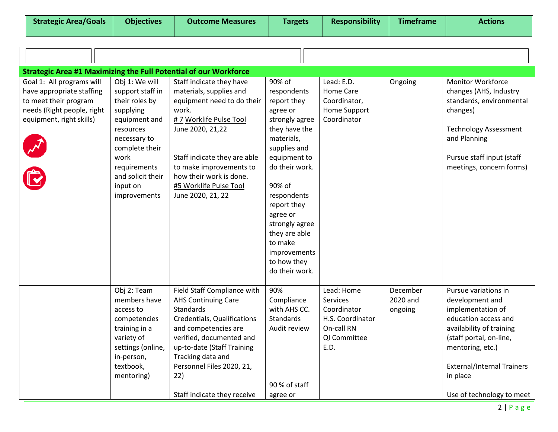| <b>Strategic Area #1 Maximizing the Full Potential of our Workforce</b>                                                                   |                                                                                                                                                                                                            |                                                                                                                                                                                                                                                                                        |                                                                                                                                                                                                                                                                                                        |                                                                                                 |                                 |                                                                                                                                                                                                                                               |
|-------------------------------------------------------------------------------------------------------------------------------------------|------------------------------------------------------------------------------------------------------------------------------------------------------------------------------------------------------------|----------------------------------------------------------------------------------------------------------------------------------------------------------------------------------------------------------------------------------------------------------------------------------------|--------------------------------------------------------------------------------------------------------------------------------------------------------------------------------------------------------------------------------------------------------------------------------------------------------|-------------------------------------------------------------------------------------------------|---------------------------------|-----------------------------------------------------------------------------------------------------------------------------------------------------------------------------------------------------------------------------------------------|
| Goal 1: All programs will<br>have appropriate staffing<br>to meet their program<br>needs (Right people, right<br>equipment, right skills) | Obj 1: We will<br>support staff in<br>their roles by<br>supplying<br>equipment and<br>resources<br>necessary to<br>complete their<br>work<br>requirements<br>and solicit their<br>input on<br>improvements | Staff indicate they have<br>materials, supplies and<br>equipment need to do their<br>work.<br># 7 Worklife Pulse Tool<br>June 2020, 21,22<br>Staff indicate they are able<br>to make improvements to<br>how their work is done.<br>#5 Worklife Pulse Tool<br>June 2020, 21, 22         | 90% of<br>respondents<br>report they<br>agree or<br>strongly agree<br>they have the<br>materials,<br>supplies and<br>equipment to<br>do their work.<br>90% of<br>respondents<br>report they<br>agree or<br>strongly agree<br>they are able<br>to make<br>improvements<br>to how they<br>do their work. | Lead: E.D.<br>Home Care<br>Coordinator,<br>Home Support<br>Coordinator                          | Ongoing                         | <b>Monitor Workforce</b><br>changes (AHS, Industry<br>standards, environmental<br>changes)<br><b>Technology Assessment</b><br>and Planning<br>Pursue staff input (staff<br>meetings, concern forms)                                           |
|                                                                                                                                           | Obj 2: Team<br>members have<br>access to<br>competencies<br>training in a<br>variety of<br>settings (online,<br>in-person,<br>textbook,<br>mentoring)                                                      | Field Staff Compliance with<br><b>AHS Continuing Care</b><br><b>Standards</b><br>Credentials, Qualifications<br>and competencies are<br>verified, documented and<br>up-to-date (Staff Training<br>Tracking data and<br>Personnel Files 2020, 21,<br>22)<br>Staff indicate they receive | 90%<br>Compliance<br>with AHS CC.<br><b>Standards</b><br>Audit review<br>90 % of staff<br>agree or                                                                                                                                                                                                     | Lead: Home<br>Services<br>Coordinator<br>H.S. Coordinator<br>On-call RN<br>QI Committee<br>E.D. | December<br>2020 and<br>ongoing | Pursue variations in<br>development and<br>implementation of<br>education access and<br>availability of training<br>(staff portal, on-line,<br>mentoring, etc.)<br><b>External/Internal Trainers</b><br>in place<br>Use of technology to meet |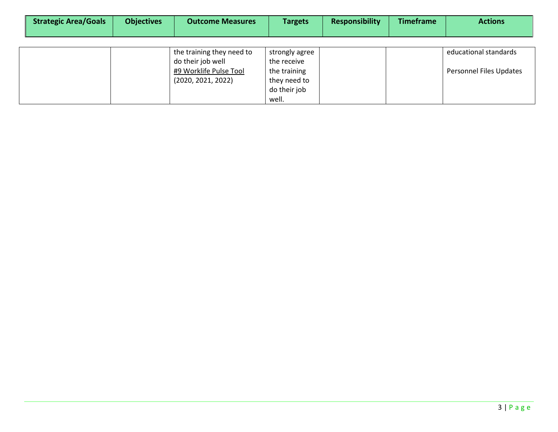| <b>Strategic Area/Goals</b> | <b>Objectives</b> | <b>Outcome Measures</b>                        | <b>Targets</b>                | <b>Responsibility</b> | <b>Timeframe</b> | <b>Actions</b>          |  |  |  |
|-----------------------------|-------------------|------------------------------------------------|-------------------------------|-----------------------|------------------|-------------------------|--|--|--|
|                             |                   |                                                |                               |                       |                  |                         |  |  |  |
|                             |                   | the training they need to<br>do their job well | strongly agree<br>the receive |                       |                  | educational standards   |  |  |  |
|                             |                   | #9 Worklife Pulse Tool<br>(2020, 2021, 2022)   | the training<br>they need to  |                       |                  | Personnel Files Updates |  |  |  |
|                             |                   |                                                | do their job<br>well.         |                       |                  |                         |  |  |  |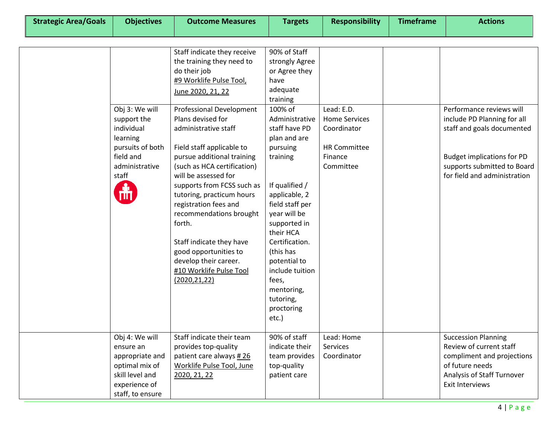|                  | Staff indicate they receive     | 90% of Staff    |                      |                                   |
|------------------|---------------------------------|-----------------|----------------------|-----------------------------------|
|                  | the training they need to       | strongly Agree  |                      |                                   |
|                  | do their job                    | or Agree they   |                      |                                   |
|                  | #9 Worklife Pulse Tool,         | have            |                      |                                   |
|                  | June 2020, 21, 22               | adequate        |                      |                                   |
|                  |                                 | training        |                      |                                   |
| Obj 3: We will   | <b>Professional Development</b> | 100% of         | Lead: E.D.           | Performance reviews will          |
| support the      | Plans devised for               | Administrative  | <b>Home Services</b> | include PD Planning for all       |
| individual       | administrative staff            | staff have PD   | Coordinator          | staff and goals documented        |
| learning         |                                 | plan and are    |                      |                                   |
| pursuits of both | Field staff applicable to       | pursuing        | <b>HR Committee</b>  |                                   |
| field and        | pursue additional training      | training        | Finance              | <b>Budget implications for PD</b> |
| administrative   | (such as HCA certification)     |                 | Committee            | supports submitted to Board       |
| staff            | will be assessed for            |                 |                      | for field and administration      |
|                  | supports from FCSS such as      | If qualified /  |                      |                                   |
|                  | tutoring, practicum hours       | applicable, 2   |                      |                                   |
|                  | registration fees and           | field staff per |                      |                                   |
|                  | recommendations brought         | year will be    |                      |                                   |
|                  | forth.                          | supported in    |                      |                                   |
|                  |                                 | their HCA       |                      |                                   |
|                  | Staff indicate they have        | Certification.  |                      |                                   |
|                  | good opportunities to           | (this has       |                      |                                   |
|                  | develop their career.           | potential to    |                      |                                   |
|                  | #10 Worklife Pulse Tool         | include tuition |                      |                                   |
|                  | (2020, 21, 22)                  | fees,           |                      |                                   |
|                  |                                 | mentoring,      |                      |                                   |
|                  |                                 | tutoring,       |                      |                                   |
|                  |                                 | proctoring      |                      |                                   |
|                  |                                 | etc.)           |                      |                                   |
|                  |                                 |                 |                      |                                   |
| Obj 4: We will   | Staff indicate their team       | 90% of staff    | Lead: Home           | <b>Succession Planning</b>        |
| ensure an        | provides top-quality            | indicate their  | <b>Services</b>      | Review of current staff           |
| appropriate and  | patient care always #26         | team provides   | Coordinator          | compliment and projections        |
| optimal mix of   | Worklife Pulse Tool, June       | top-quality     |                      | of future needs                   |
| skill level and  | 2020, 21, 22                    | patient care    |                      | Analysis of Staff Turnover        |
| experience of    |                                 |                 |                      | Exit Interviews                   |
| staff, to ensure |                                 |                 |                      |                                   |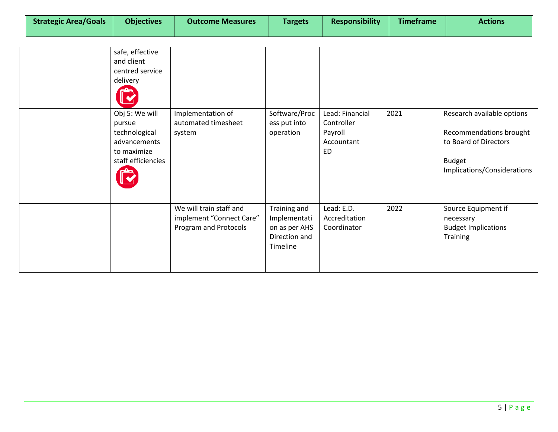| <b>Strategic Area/Goals</b> | <b>Objectives</b> | <b>Outcome Measures</b> | <b>Targets</b> | <b>Responsibility</b> | <b>Timeframe</b> | <b>Actions</b> |
|-----------------------------|-------------------|-------------------------|----------------|-----------------------|------------------|----------------|
|                             |                   |                         |                |                       |                  |                |

| safe, effective<br>and client<br>centred service<br>delivery                                   |                                                                              |                                                                            |                                                              |      |                                                                                                                                |
|------------------------------------------------------------------------------------------------|------------------------------------------------------------------------------|----------------------------------------------------------------------------|--------------------------------------------------------------|------|--------------------------------------------------------------------------------------------------------------------------------|
| Obj 5: We will<br>pursue<br>technological<br>advancements<br>to maximize<br>staff efficiencies | Implementation of<br>automated timesheet<br>system                           | Software/Proc<br>ess put into<br>operation                                 | Lead: Financial<br>Controller<br>Payroll<br>Accountant<br>ED | 2021 | Research available options<br>Recommendations brought<br>to Board of Directors<br><b>Budget</b><br>Implications/Considerations |
|                                                                                                | We will train staff and<br>implement "Connect Care"<br>Program and Protocols | Training and<br>Implementati<br>on as per AHS<br>Direction and<br>Timeline | Lead: E.D.<br>Accreditation<br>Coordinator                   | 2022 | Source Equipment if<br>necessary<br><b>Budget Implications</b><br><b>Training</b>                                              |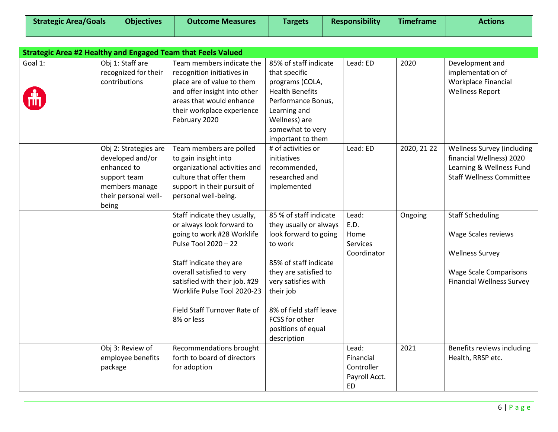| <b>Strategic Area/Goals</b> | <b>Objectives</b> | <b>Outcome Measures</b> | <b>Targets</b> | <b>Responsibility</b> | Timeframe | Actions |
|-----------------------------|-------------------|-------------------------|----------------|-----------------------|-----------|---------|
|                             |                   |                         |                |                       |           |         |

|         |                                                                                                                             | Strategic Area #2 Healthy and Engaged Team that Feels Valued                                                                                                                                                                                                                          |                                                                                                                                                                                                                                                              |                                                                |             |                                                                                                                                               |
|---------|-----------------------------------------------------------------------------------------------------------------------------|---------------------------------------------------------------------------------------------------------------------------------------------------------------------------------------------------------------------------------------------------------------------------------------|--------------------------------------------------------------------------------------------------------------------------------------------------------------------------------------------------------------------------------------------------------------|----------------------------------------------------------------|-------------|-----------------------------------------------------------------------------------------------------------------------------------------------|
| Goal 1: | Obj 1: Staff are<br>recognized for their<br>contributions                                                                   | Team members indicate the<br>recognition initiatives in<br>place are of value to them<br>and offer insight into other<br>areas that would enhance<br>their workplace experience<br>February 2020                                                                                      | 85% of staff indicate<br>that specific<br>programs (COLA,<br><b>Health Benefits</b><br>Performance Bonus,<br>Learning and<br>Wellness) are<br>somewhat to very<br>important to them                                                                          | Lead: ED                                                       | 2020        | Development and<br>implementation of<br>Workplace Financial<br><b>Wellness Report</b>                                                         |
|         | Obj 2: Strategies are<br>developed and/or<br>enhanced to<br>support team<br>members manage<br>their personal well-<br>being | Team members are polled<br>to gain insight into<br>organizational activities and<br>culture that offer them<br>support in their pursuit of<br>personal well-being.                                                                                                                    | # of activities or<br>initiatives<br>recommended,<br>researched and<br>implemented                                                                                                                                                                           | Lead: ED                                                       | 2020, 21 22 | <b>Wellness Survey (including</b><br>financial Wellness) 2020<br>Learning & Wellness Fund<br><b>Staff Wellness Committee</b>                  |
|         |                                                                                                                             | Staff indicate they usually,<br>or always look forward to<br>going to work #28 Worklife<br>Pulse Tool 2020 - 22<br>Staff indicate they are<br>overall satisfied to very<br>satisfied with their job. #29<br>Worklife Pulse Tool 2020-23<br>Field Staff Turnover Rate of<br>8% or less | 85 % of staff indicate<br>they usually or always<br>look forward to going<br>to work<br>85% of staff indicate<br>they are satisfied to<br>very satisfies with<br>their job<br>8% of field staff leave<br>FCSS for other<br>positions of equal<br>description | Lead:<br>E.D.<br>Home<br>Services<br>Coordinator               | Ongoing     | <b>Staff Scheduling</b><br>Wage Scales reviews<br><b>Wellness Survey</b><br><b>Wage Scale Comparisons</b><br><b>Financial Wellness Survey</b> |
|         | Obj 3: Review of<br>employee benefits<br>package                                                                            | Recommendations brought<br>forth to board of directors<br>for adoption                                                                                                                                                                                                                |                                                                                                                                                                                                                                                              | Lead:<br>Financial<br>Controller<br>Payroll Acct.<br><b>ED</b> | 2021        | Benefits reviews including<br>Health, RRSP etc.                                                                                               |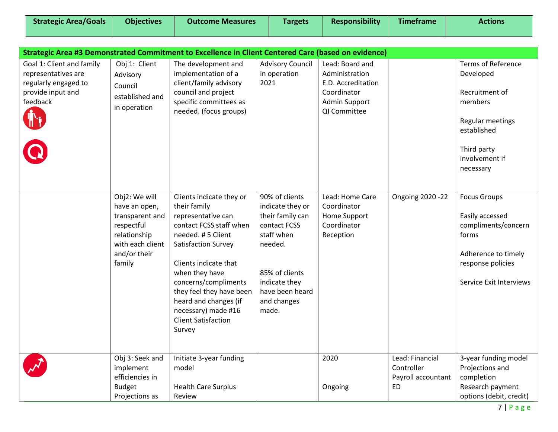| <b>Strategic Area/Goals</b>                                                                               | <b>Objectives</b>                                                                                                             | <b>Outcome Measures</b>                                                                                                                                                                                                                                                                                                      | <b>Targets</b>                                                                                                                                                                | <b>Responsibility</b>                                                                                   | <b>Timeframe</b>                                          | <b>Actions</b>                                                                                                                                       |
|-----------------------------------------------------------------------------------------------------------|-------------------------------------------------------------------------------------------------------------------------------|------------------------------------------------------------------------------------------------------------------------------------------------------------------------------------------------------------------------------------------------------------------------------------------------------------------------------|-------------------------------------------------------------------------------------------------------------------------------------------------------------------------------|---------------------------------------------------------------------------------------------------------|-----------------------------------------------------------|------------------------------------------------------------------------------------------------------------------------------------------------------|
|                                                                                                           |                                                                                                                               |                                                                                                                                                                                                                                                                                                                              |                                                                                                                                                                               |                                                                                                         |                                                           |                                                                                                                                                      |
| Strategic Area #3 Demonstrated Commitment to Excellence in Client Centered Care (based on evidence)       |                                                                                                                               |                                                                                                                                                                                                                                                                                                                              |                                                                                                                                                                               |                                                                                                         |                                                           |                                                                                                                                                      |
| Goal 1: Client and family<br>representatives are<br>regularly engaged to<br>provide input and<br>feedback | Obj 1: Client<br>Advisory<br>Council<br>established and<br>in operation                                                       | The development and<br>implementation of a<br>client/family advisory<br>council and project<br>specific committees as<br>needed. (focus groups)                                                                                                                                                                              | <b>Advisory Council</b><br>in operation<br>2021                                                                                                                               | Lead: Board and<br>Administration<br>E.D. Accreditation<br>Coordinator<br>Admin Support<br>QI Committee |                                                           | <b>Terms of Reference</b><br>Developed<br>Recruitment of<br>members<br>Regular meetings<br>established<br>Third party<br>involvement if<br>necessary |
|                                                                                                           | Obj2: We will<br>have an open,<br>transparent and<br>respectful<br>relationship<br>with each client<br>and/or their<br>family | Clients indicate they or<br>their family<br>representative can<br>contact FCSS staff when<br>needed. #5 Client<br>Satisfaction Survey<br>Clients indicate that<br>when they have<br>concerns/compliments<br>they feel they have been<br>heard and changes (if<br>necessary) made #16<br><b>Client Satisfaction</b><br>Survey | 90% of clients<br>indicate they or<br>their family can<br>contact FCSS<br>staff when<br>needed.<br>85% of clients<br>indicate they<br>have been heard<br>and changes<br>made. | Lead: Home Care<br>Coordinator<br>Home Support<br>Coordinator<br>Reception                              | <b>Ongoing 2020 -22</b>                                   | <b>Focus Groups</b><br>Easily accessed<br>compliments/concern<br>forms<br>Adherence to timely<br>response policies<br>Service Exit Interviews        |
|                                                                                                           | Obj 3: Seek and<br>implement<br>efficiencies in<br><b>Budget</b><br>Projections as                                            | Initiate 3-year funding<br>model<br><b>Health Care Surplus</b><br>Review                                                                                                                                                                                                                                                     |                                                                                                                                                                               | 2020<br>Ongoing                                                                                         | Lead: Financial<br>Controller<br>Payroll accountant<br>ED | 3-year funding model<br>Projections and<br>completion<br>Research payment<br>options (debit, credit)                                                 |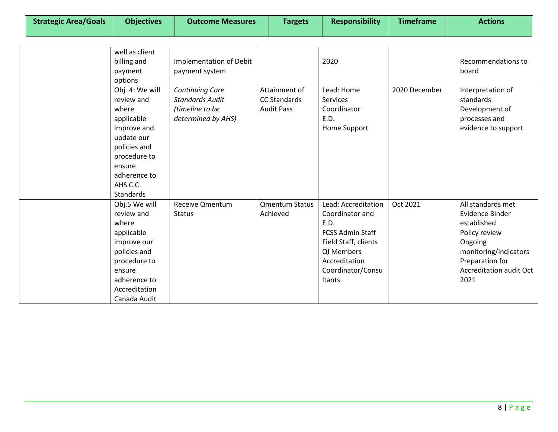| well as client<br>billing and<br>payment<br>options                                                                                                                  | Implementation of Debit<br>payment system                                                 |                                                           | 2020                                                                                                                                                                   |               | Recommendations to<br>board                                                                                                                                    |
|----------------------------------------------------------------------------------------------------------------------------------------------------------------------|-------------------------------------------------------------------------------------------|-----------------------------------------------------------|------------------------------------------------------------------------------------------------------------------------------------------------------------------------|---------------|----------------------------------------------------------------------------------------------------------------------------------------------------------------|
| Obj. 4: We will<br>review and<br>where<br>applicable<br>improve and<br>update our<br>policies and<br>procedure to<br>ensure<br>adherence to<br>AHS C.C.<br>Standards | <b>Continuing Care</b><br><b>Standards Audit</b><br>(timeline to be<br>determined by AHS) | Attainment of<br><b>CC Standards</b><br><b>Audit Pass</b> | Lead: Home<br>Services<br>Coordinator<br>E.D.<br>Home Support                                                                                                          | 2020 December | Interpretation of<br>standards<br>Development of<br>processes and<br>evidence to support                                                                       |
| Obj.5 We will<br>review and<br>where<br>applicable<br>improve our<br>policies and<br>procedure to<br>ensure<br>adherence to<br>Accreditation<br>Canada Audit         | Receive Qmentum<br><b>Status</b>                                                          | <b>Qmentum Status</b><br>Achieved                         | Lead: Accreditation<br>Coordinator and<br>E.D.<br><b>FCSS Admin Staff</b><br>Field Staff, clients<br>QI Members<br>Accreditation<br>Coordinator/Consu<br><b>Itants</b> | Oct 2021      | All standards met<br>Evidence Binder<br>established<br>Policy review<br>Ongoing<br>monitoring/indicators<br>Preparation for<br>Accreditation audit Oct<br>2021 |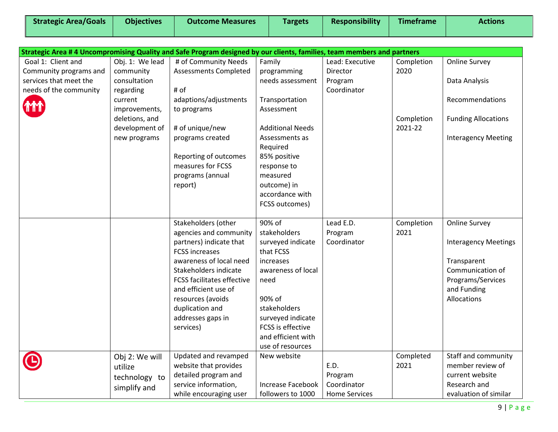| Strategic Area/Goals |  |  |
|----------------------|--|--|
|----------------------|--|--|

| Strategic Area #4 Uncompromising Quality and Safe Program designed by our clients, families, team members and partners |                 |                                   |                                         |                      |            |                             |
|------------------------------------------------------------------------------------------------------------------------|-----------------|-----------------------------------|-----------------------------------------|----------------------|------------|-----------------------------|
| Goal 1: Client and                                                                                                     | Obj. 1: We lead | # of Community Needs              | Family                                  | Lead: Executive      | Completion | <b>Online Survey</b>        |
| Community programs and                                                                                                 | community       | <b>Assessments Completed</b>      | programming                             | Director             | 2020       |                             |
| services that meet the                                                                                                 | consultation    |                                   | needs assessment                        | Program              |            | Data Analysis               |
| needs of the community                                                                                                 | regarding       | # of                              |                                         | Coordinator          |            |                             |
|                                                                                                                        | current         | adaptions/adjustments             | Transportation                          |                      |            | Recommendations             |
|                                                                                                                        | improvements,   | to programs                       | Assessment                              |                      |            |                             |
|                                                                                                                        | deletions, and  |                                   |                                         |                      | Completion | <b>Funding Allocations</b>  |
|                                                                                                                        | development of  | # of unique/new                   | <b>Additional Needs</b>                 |                      | 2021-22    |                             |
|                                                                                                                        | new programs    | programs created                  | Assessments as                          |                      |            | <b>Interagency Meeting</b>  |
|                                                                                                                        |                 |                                   | Required                                |                      |            |                             |
|                                                                                                                        |                 | Reporting of outcomes             | 85% positive                            |                      |            |                             |
|                                                                                                                        |                 | measures for FCSS                 | response to                             |                      |            |                             |
|                                                                                                                        |                 | programs (annual                  | measured                                |                      |            |                             |
|                                                                                                                        |                 | report)                           | outcome) in                             |                      |            |                             |
|                                                                                                                        |                 |                                   | accordance with                         |                      |            |                             |
|                                                                                                                        |                 |                                   | FCSS outcomes)                          |                      |            |                             |
|                                                                                                                        |                 |                                   |                                         |                      |            |                             |
|                                                                                                                        |                 | Stakeholders (other               | 90% of                                  | Lead E.D.            | Completion | <b>Online Survey</b>        |
|                                                                                                                        |                 | agencies and community            | stakeholders                            | Program              | 2021       |                             |
|                                                                                                                        |                 | partners) indicate that           | surveyed indicate                       | Coordinator          |            | <b>Interagency Meetings</b> |
|                                                                                                                        |                 | <b>FCSS increases</b>             | that FCSS                               |                      |            |                             |
|                                                                                                                        |                 | awareness of local need           | <i>increases</i>                        |                      |            | Transparent                 |
|                                                                                                                        |                 | Stakeholders indicate             | awareness of local                      |                      |            | Communication of            |
|                                                                                                                        |                 | <b>FCSS facilitates effective</b> | need                                    |                      |            | Programs/Services           |
|                                                                                                                        |                 | and efficient use of              |                                         |                      |            | and Funding                 |
|                                                                                                                        |                 | resources (avoids                 | 90% of                                  |                      |            | Allocations                 |
|                                                                                                                        |                 | duplication and                   | stakeholders                            |                      |            |                             |
|                                                                                                                        |                 | addresses gaps in                 | surveyed indicate                       |                      |            |                             |
|                                                                                                                        |                 | services)                         | FCSS is effective<br>and efficient with |                      |            |                             |
|                                                                                                                        |                 |                                   | use of resources                        |                      |            |                             |
|                                                                                                                        |                 | Updated and revamped              | New website                             |                      | Completed  | Staff and community         |
|                                                                                                                        | Obj 2: We will  | website that provides             |                                         | E.D.                 | 2021       | member review of            |
|                                                                                                                        | utilize         | detailed program and              |                                         | Program              |            | current website             |
|                                                                                                                        | technology to   | service information,              | Increase Facebook                       | Coordinator          |            | Research and                |
|                                                                                                                        | simplify and    |                                   |                                         | <b>Home Services</b> |            | evaluation of similar       |
|                                                                                                                        |                 | while encouraging user            | followers to 1000                       |                      |            |                             |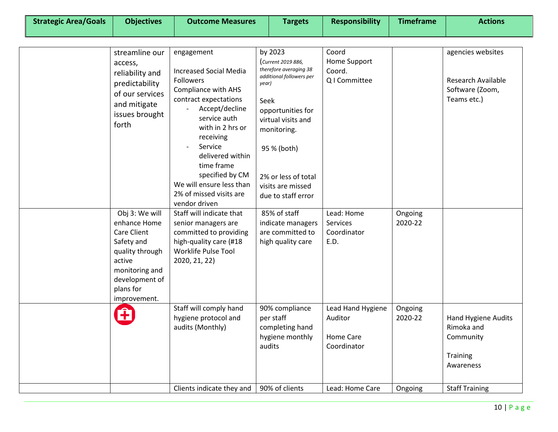| <b>Strategic Area/Goals</b> | <b>Objectives</b>                                                                                                                                         | <b>Outcome Measures</b>                                                                                                                                                                                                                                                                                                           | <b>Targets</b>                                                                                                                                                                                                                                 | <b>Responsibility</b>                                    | <b>Timeframe</b>   | <b>Actions</b>                                                                   |
|-----------------------------|-----------------------------------------------------------------------------------------------------------------------------------------------------------|-----------------------------------------------------------------------------------------------------------------------------------------------------------------------------------------------------------------------------------------------------------------------------------------------------------------------------------|------------------------------------------------------------------------------------------------------------------------------------------------------------------------------------------------------------------------------------------------|----------------------------------------------------------|--------------------|----------------------------------------------------------------------------------|
|                             |                                                                                                                                                           |                                                                                                                                                                                                                                                                                                                                   |                                                                                                                                                                                                                                                |                                                          |                    |                                                                                  |
|                             | streamline our<br>access,<br>reliability and<br>predictability<br>of our services<br>and mitigate<br>issues brought<br>forth                              | engagement<br><b>Increased Social Media</b><br><b>Followers</b><br><b>Compliance with AHS</b><br>contract expectations<br>Accept/decline<br>service auth<br>with in 2 hrs or<br>receiving<br>Service<br>delivered within<br>time frame<br>specified by CM<br>We will ensure less than<br>2% of missed visits are<br>vendor driven | by 2023<br>Current 2019 886,<br>therefore averaging 38<br>additional followers per<br>year)<br>Seek<br>opportunities for<br>virtual visits and<br>monitoring.<br>95 % (both)<br>2% or less of total<br>visits are missed<br>due to staff error | Coord<br>Home Support<br>Coord.<br>Q I Committee         |                    | agencies websites<br><b>Research Available</b><br>Software (Zoom,<br>Teams etc.) |
|                             | Obj 3: We will<br>enhance Home<br>Care Client<br>Safety and<br>quality through<br>active<br>monitoring and<br>development of<br>plans for<br>improvement. | Staff will indicate that<br>senior managers are<br>committed to providing<br>high-quality care (#18<br>Worklife Pulse Tool<br>2020, 21, 22)                                                                                                                                                                                       | 85% of staff<br>indicate managers<br>are committed to<br>high quality care                                                                                                                                                                     | Lead: Home<br>Services<br>Coordinator<br>E.D.            | Ongoing<br>2020-22 |                                                                                  |
|                             | ٠                                                                                                                                                         | Staff will comply hand<br>hygiene protocol and<br>audits (Monthly)                                                                                                                                                                                                                                                                | 90% compliance<br>per staff<br>completing hand<br>hygiene monthly<br>audits                                                                                                                                                                    | Lead Hand Hygiene<br>Auditor<br>Home Care<br>Coordinator | Ongoing<br>2020-22 | <b>Hand Hygiene Audits</b><br>Rimoka and<br>Community<br>Training<br>Awareness   |
|                             |                                                                                                                                                           | Clients indicate they and                                                                                                                                                                                                                                                                                                         | 90% of clients                                                                                                                                                                                                                                 | Lead: Home Care                                          | Ongoing            | <b>Staff Training</b>                                                            |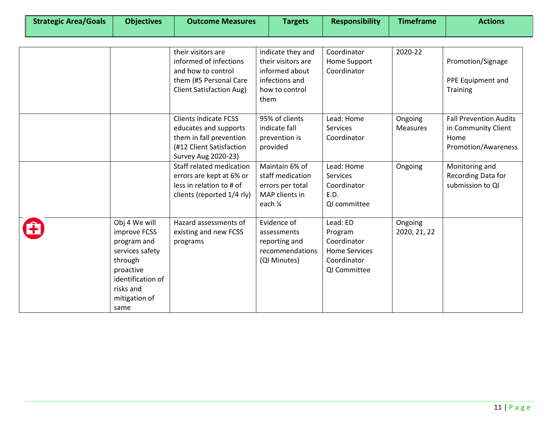| <b>Strategic Area/Goals</b> | <b>Objectives</b>                                                                                                                                  | <b>Outcome Measures</b>                                                                                                                                                                                                                                      | <b>Targets</b>                                                                                                                                       | <b>Responsibility</b>                                                                                                | <b>Timeframe</b>                      | <b>Actions</b>                                                                                                                                         |
|-----------------------------|----------------------------------------------------------------------------------------------------------------------------------------------------|--------------------------------------------------------------------------------------------------------------------------------------------------------------------------------------------------------------------------------------------------------------|------------------------------------------------------------------------------------------------------------------------------------------------------|----------------------------------------------------------------------------------------------------------------------|---------------------------------------|--------------------------------------------------------------------------------------------------------------------------------------------------------|
|                             |                                                                                                                                                    | their visitors are<br>informed of infections<br>and how to control<br>them (#5 Personal Care<br><b>Client Satisfaction Aug)</b>                                                                                                                              | indicate they and<br>their visitors are<br>informed about<br>infections and<br>how to control<br>them                                                | Coordinator<br>Home Support<br>Coordinator                                                                           | 2020-22                               | Promotion/Signage<br>PPE Equipment and<br><b>Training</b>                                                                                              |
|                             |                                                                                                                                                    | <b>Clients indicate FCSS</b><br>educates and supports<br>them in fall prevention<br>(#12 Client Satisfaction<br><b>Survey Aug 2020-23)</b><br>Staff related medication<br>errors are kept at 6% or<br>less in relation to # of<br>clients (reported 1/4 rly) | 95% of clients<br>indicate fall<br>prevention is<br>provided<br>Maintain 6% of<br>staff medication<br>errors per total<br>MAP clients in<br>each 1⁄4 | Lead: Home<br><b>Services</b><br>Coordinator<br>Lead: Home<br><b>Services</b><br>Coordinator<br>E.D.<br>QI committee | Ongoing<br><b>Measures</b><br>Ongoing | <b>Fall Prevention Audits</b><br>in Community Client<br>Home<br><b>Promotion/Awareness</b><br>Monitoring and<br>Recording Data for<br>submission to QI |
|                             | Obj 4 We will<br>improve FCSS<br>program and<br>services safety<br>through<br>proactive<br>identification of<br>risks and<br>mitigation of<br>same | Hazard assessments of<br>existing and new FCSS<br>programs                                                                                                                                                                                                   | Evidence of<br>assessments<br>reporting and<br>recommendations<br>(QI Minutes)                                                                       | Lead: ED<br>Program<br>Coordinator<br><b>Home Services</b><br>Coordinator<br>QI Committee                            | Ongoing<br>2020, 21, 22               |                                                                                                                                                        |